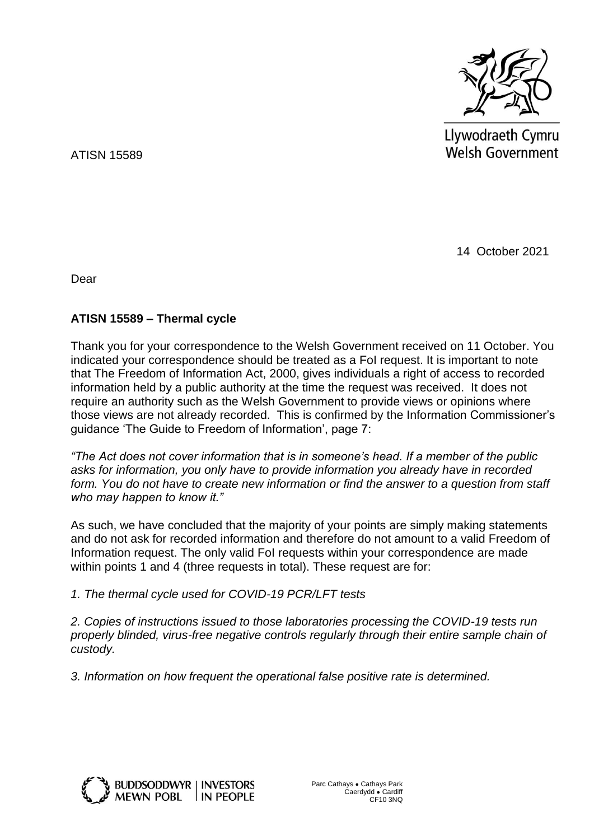

Llywodraeth Cymru **Welsh Government** 

ATISN 15589

14 October 2021

Dear

## **ATISN 15589 – Thermal cycle**

Thank you for your correspondence to the Welsh Government received on 11 October. You indicated your correspondence should be treated as a FoI request. It is important to note that The Freedom of Information Act, 2000, gives individuals a right of access to recorded information held by a public authority at the time the request was received. It does not require an authority such as the Welsh Government to provide views or opinions where those views are not already recorded. This is confirmed by the Information Commissioner's guidance 'The Guide to Freedom of Information', page 7:

*"The Act does not cover information that is in someone's head. If a member of the public asks for information, you only have to provide information you already have in recorded form. You do not have to create new information or find the answer to a question from staff who may happen to know it."* 

As such, we have concluded that the majority of your points are simply making statements and do not ask for recorded information and therefore do not amount to a valid Freedom of Information request. The only valid FoI requests within your correspondence are made within points 1 and 4 (three requests in total). These request are for:

*1. The thermal cycle used for COVID-19 PCR/LFT tests*

*2. Copies of instructions issued to those laboratories processing the COVID-19 tests run properly blinded, virus-free negative controls regularly through their entire sample chain of custody.* 

*3. Information on how frequent the operational false positive rate is determined.*

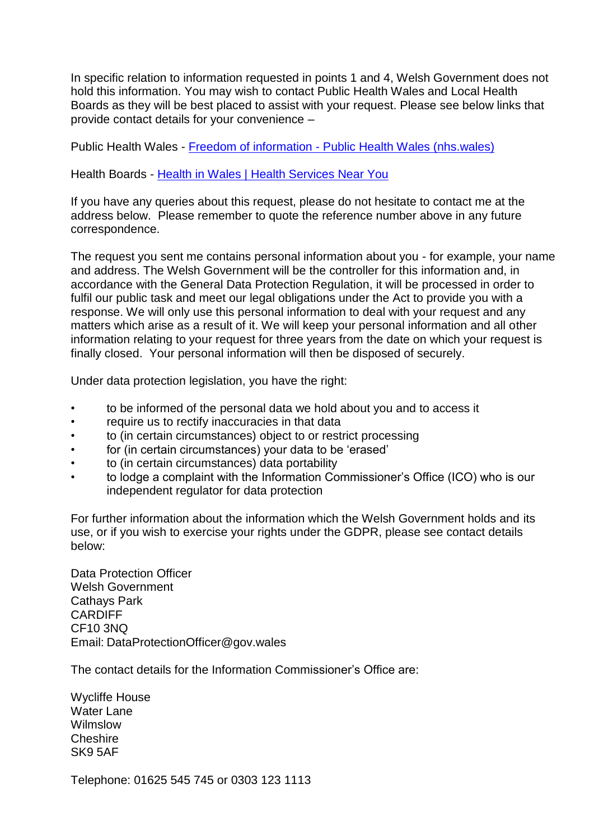In specific relation to information requested in points 1 and 4, Welsh Government does not hold this information. You may wish to contact Public Health Wales and Local Health Boards as they will be best placed to assist with your request. Please see below links that provide contact details for your convenience –

Public Health Wales - Freedom of information - [Public Health Wales \(nhs.wales\)](https://phw.nhs.wales/use-of-site/contact-us/freedom-of-information/)

Health Boards - [Health in Wales | Health Services Near You](http://www.wales.nhs.uk/ourservices/contactus/healthservicesnearyou)

If you have any queries about this request, please do not hesitate to contact me at the address below. Please remember to quote the reference number above in any future correspondence.

The request you sent me contains personal information about you - for example, your name and address. The Welsh Government will be the controller for this information and, in accordance with the General Data Protection Regulation, it will be processed in order to fulfil our public task and meet our legal obligations under the Act to provide you with a response. We will only use this personal information to deal with your request and any matters which arise as a result of it. We will keep your personal information and all other information relating to your request for three years from the date on which your request is finally closed. Your personal information will then be disposed of securely.

Under data protection legislation, you have the right:

- to be informed of the personal data we hold about you and to access it
- require us to rectify inaccuracies in that data
- to (in certain circumstances) object to or restrict processing
- for (in certain circumstances) your data to be 'erased'
- to (in certain circumstances) data portability
- to lodge a complaint with the Information Commissioner's Office (ICO) who is our independent regulator for data protection

For further information about the information which the Welsh Government holds and its use, or if you wish to exercise your rights under the GDPR, please see contact details below:

Data Protection Officer Welsh Government Cathays Park CARDIFF CF10 3NQ Email: DataProtectionOfficer@gov.wales

The contact details for the Information Commissioner's Office are:

Wycliffe House Water Lane Wilmslow Cheshire SK9 5AF

Telephone: 01625 545 745 or 0303 123 1113